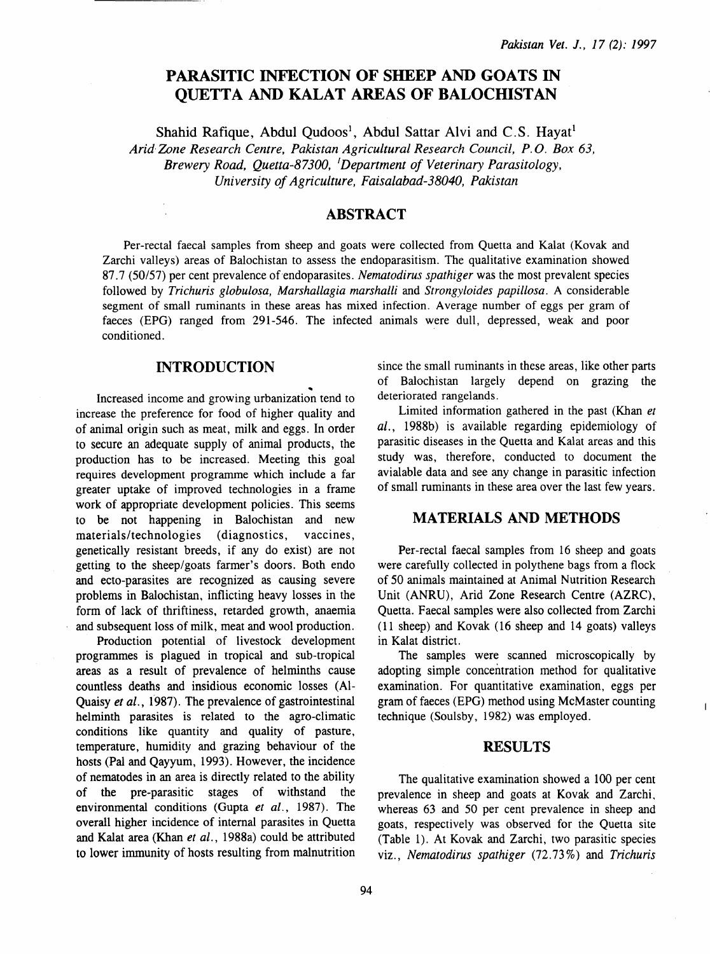# PARASITIC INFECTION OF SHEEP AND GOATS IN **OUETTA AND KALAT AREAS OF BALOCHISTAN**

Shahid Rafique, Abdul Qudoos<sup>1</sup>, Abdul Sattar Alvi and C.S. Hayat<sup>1</sup>

*Arid Zone Research Centre, Pakistan Agricultural Research Council, P. 0. Box 63, Brewery Road, Quetta-87300,* <sup>1</sup> *Department of Veterinary Parasitology, University of Agriculture, Faisalabad-38040, Pakistan* 

### ABSTRACT

Per-rectal faecal samples from sheep and goats were collected from Quetta and Kalat (Kovak and Zarchi valleys) areas of Balochistan to assess the endoparasitism. The qualitative examination showed 87.7 (50/57) per cent prevalence of endoparasites. *Nematodirus spathiger* was the most prevalent species followed by *Trichuris globulosa, Marshallagia marshalli* and *Strongyloides papillosa.* A considerable segment of small ruminants in these areas has mixed infection. Average number of eggs per gram of faeces (EPG) ranged from 291-546. The infected animals were dull, depressed, weak and poor conditioned.

### INTRODUCTION

Increased income and growing urbanization tend to increase the preference for food of higher quality and of animal origin such as meat, milk and eggs. In order to secure an adequate supply of animal products, the production has to be increased. Meeting this goal requires development programme which include a far greater uptake of improved technologies in a frame work of appropriate development policies. This seems to be not happening in Balochistan and new materials/technologies (diagnostics, vaccines, genetically resistant breeds, if any do exist) are not getting to the sheep/goats farmer's doors. Both endo and ecto-parasites are recognized as causing severe problems in Balochistan, inflicting heavy losses in the form of lack of thriftiness, retarded growth, anaemia and subsequent loss of milk, meat and wool production.

Production potential of livestock development programmes is plagued in tropical and sub-tropical areas as a result of prevalence of helminths cause countless deaths and insidious economic losses (Al-Quaisy *et al.,* 1987). The prevalence of gastrointestinal helminth parasites is related to the agro-climatic conditions like quantity and quality of pasture, temperature, humidity and grazing behaviour of the hosts (Pal and Qayyum, 1993). However, the incidence of nematodes in an area is directly related to the ability of the pre-parasitic stages of withstand the environmental conditions (Gupta *et al.,* 1987). The overall higher incidence of internal parasites in Quetta and Kalat area (Khan *et al.,* 1988a) could be attributed to lower immunity of hosts resulting from malnutrition

since the small ruminants in these areas, like other parts of Balochistan largely depend on grazing the deteriorated rangelands.

Limited information gathered in the past (Khan *et al.,* 1988b) is available regarding epidemiology of parasitic diseases in the Quetta and Kalat areas and this study was, therefore, conducted to document the avialable data and see any change in parasitic infection of small ruminants in these area over the last few years.

### MATERIALS AND METHODS

Per-rectal faecal samples from 16 sheep and goats were carefully collected in polythene bags from a flock of 50 animals maintained at Animal Nutrition Research Unit (ANRU), Arid Zone Research Centre (AZRC), Quetta. Faecal samples were also collected from Zarchi ( 11 sheep) and Kovak ( 16 sheep and 14 goats) valleys in Kalat district.

The samples were scanned microscopically by adopting simple concentration method for qualitative examination. For quantitative examination, eggs per gram of faeces (EPG) method using McMaster counting technique (Soulsby, 1982) was employed.

 $\overline{\phantom{a}}$ 

#### RESULTS

The qualitative examination showed a 100 per cent prevalence in sheep and goats at Kovak and Zarchi, whereas 63 and 50 per cent prevalence in sheep and goats, respectively was observed for the Quetta site (Table 1). At Kovak and Zarchi, two parasitic species viz., *Nematodirus spathiger* (72. 73%) and *Trichuris*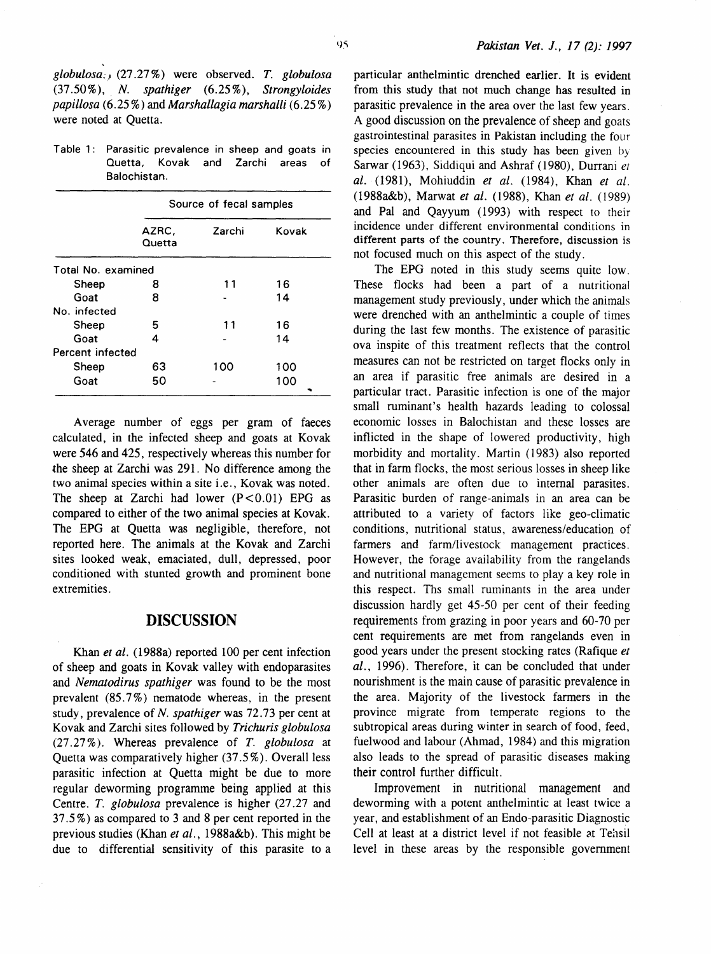Table 1: Parasitic prevalence in sheep and goats in Quetta, Kovak and Zarchi areas of Balochistan.

|                    | Source of fecal samples |        |       |
|--------------------|-------------------------|--------|-------|
|                    | AZRC,<br>Quetta         | Zarchi | Kovak |
| Total No. examined |                         |        |       |
| Sheep              | 8                       | 11     | 16    |
| Goat               | 8                       |        | 14    |
| No. infected       |                         |        |       |
| Sheep              | 5                       | 11     | 16    |
| Goat               | 4                       |        | 14    |
| Percent infected   |                         |        |       |
| Sheep              | 63                      | 100    | 100   |
| Goat               | 50                      |        | 100   |

Average number of eggs per gram of faeces calculated, in the infected sheep and goats at Kovak were 546 and 425, respectively whereas this number for the sheep at Zarchi was 291. No difference among the two animal species within a site i.e., Kovak was noted. The sheep at Zarchi had lower  $(P<0.01)$  EPG as compared to either of the two animal species at Kovak. The EPG at Quetta was negligible, therefore, not reported here. The animals at the Kovak and Zarchi sites looked weak, emaciated, dull, depressed, poor conditioned with stunted growth and prominent bone extremities.

### **DISCUSSION**

Khan *et al.* (1988a) reported 100 per cent infection of sheep and goats in Kovak valley with endoparasites and *Nematodirus spathiger* was found to be the most prevalent (85. 7%) nematode whereas, in the present study, prevalence of *N. spathiger* was 72.73 per cent at Kovak and Zarchi sites followed by *Trichuris globulosa*  (27.27%). Whereas prevalence of *T. globulosa* at Quetta was comparatively higher (37 .5%). Overall less parasitic infection at Quetta might be due to more regular deworming programme being applied at this Centre. *T. globulosa* prevalence is higher (27 .27 and 37.5%) as compared to 3 and 8 per cent reported in the previous studies (Khan *et al.,* 1988a&b). This might be due to differential sensitivity of this parasite to a particular anthelmintic drenched earlier. It is evident from this study that not much change has resulted in parasitic prevalence in the area over the last few years. A good discussion on the prevalence of sheep and goats gastrointestinal parasites in Pakistan including the four species encountered in this study has been given by Sarwar (1963), Siddiqui and Ashraf (1980), Durrani et *al.* (1981), Mohiuddin *et al.* (1984}, Khan *et al.*  (1988a&b}, Marwat *et al.* (1988), Khan *et al.* (1989) and Pal and Qayyum (1993) with respect to their incidence under different environmental conditions in different parts of the country. Therefore, discussion is not focused much on this aspect of the study.

The EPG noted in this study seems quite low. These flocks had been a part of a nutritional management study previously, under which the animals were drenched with an anthelmintic a couple of times during the last few months. The existence of parasitic ova inspite of this treatment reflects that the control measures can not be restricted on target flocks only in an area if parasitic free animals are desired in a particular tract. Parasitic infection is one of the major small ruminant's health hazards leading to colossal economic losses in Balochistan and these losses are inflicted in the shape of lowered productivity, high morbidity and mortality. Martin ( 1983) also reported that in farm flocks, the most serious losses in sheep like other animals are often due to internal parasites. Parasitic burden of range-animals in an area can be attributed to a variety of factors like geo-climatic conditions, nutritional status, awareness/education of farmers and farm/livestock management practices. However, the forage availability from the rangelands and nutritional management seems to play a key role in this respect. Ths small ruminants in the area under discussion hardly get 45-50 per cent of their feeding requirements from grazing in poor years and 60-70 per cent requirements are met from rangelands even in good years under the present stocking rates (Rafique *et al.,* 1996). Therefore, it can be concluded that under nourishment is the main cause of parasitic prevalence in the area. Majority of the livestock farmers in the province migrate from temperate regions to the subtropical areas during winter in search of food, feed, fuel wood and labour (Ahmad, 1984) and this migration also leads to the spread of parasitic diseases making their control further difficult.

Improvement in nutritional management and deworming with a potent anthelmintic at least twice a year, and establishment of an Endo-parasitic Diagnostic Cell at least at a district level if not feasible at Tehsil level in these areas by the responsible government